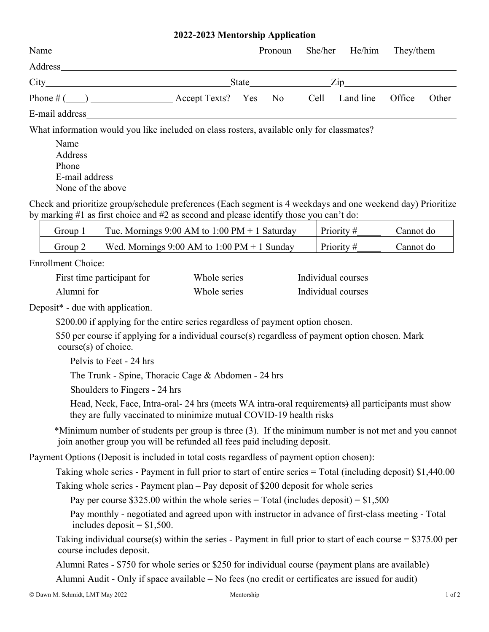## **2022-2023 Mentorship Application**

| Name                                                                                                                                                                                                                           |                                            |                                                                                                                                                                                                                                | Pronoun She/her He/him They/them |       |
|--------------------------------------------------------------------------------------------------------------------------------------------------------------------------------------------------------------------------------|--------------------------------------------|--------------------------------------------------------------------------------------------------------------------------------------------------------------------------------------------------------------------------------|----------------------------------|-------|
| Address and the contract of the contract of the contract of the contract of the contract of the contract of the contract of the contract of the contract of the contract of the contract of the contract of the contract of th |                                            |                                                                                                                                                                                                                                |                                  |       |
|                                                                                                                                                                                                                                |                                            | State in the state of the state in the state in the state in the state in the state in the state in the state in the state in the state in the state in the state in the state in the state in the state in the state in the s |                                  |       |
|                                                                                                                                                                                                                                | Accept Texts? Yes No Cell Land line Office |                                                                                                                                                                                                                                |                                  | Other |
| E-mail address                                                                                                                                                                                                                 |                                            |                                                                                                                                                                                                                                |                                  |       |

What information would you like included on class rosters, available only for classmates?

 Name Address Phone E-mail address None of the above

Check and prioritize group/schedule preferences (Each segment is 4 weekdays and one weekend day) Prioritize by marking #1 as first choice and #2 as second and please identify those you can't do:

| Group.  | Tue. Mornings $9:00$ AM to $1:00$ PM + 1 Saturday | Priority# | Dannot do |
|---------|---------------------------------------------------|-----------|-----------|
| Group 2 | Wed. Mornings $9:00$ AM to $1:00$ PM + 1 Sunday   | Priority# | Dannot do |

Enrollment Choice:

| First time participant for | Whole series | Individual courses |
|----------------------------|--------------|--------------------|
| Alumni for                 | Whole series | Individual courses |

Deposit\* - due with application.

\$200.00 if applying for the entire series regardless of payment option chosen.

 \$50 per course if applying for a individual course(s) regardless of payment option chosen. Mark course(s) of choice.

Pelvis to Feet - 24 hrs

The Trunk - Spine, Thoracic Cage & Abdomen - 24 hrs

Shoulders to Fingers - 24 hrs

Head, Neck, Face, Intra-oral- 24 hrs (meets WA intra-oral requirements) all participants must show they are fully vaccinated to minimize mutual COVID-19 health risks

\*Minimum number of students per group is three (3). If the minimum number is not met and you cannot join another group you will be refunded all fees paid including deposit.

Payment Options (Deposit is included in total costs regardless of payment option chosen):

Taking whole series - Payment in full prior to start of entire series = Total (including deposit) \$1,440.00

Taking whole series - Payment plan – Pay deposit of \$200 deposit for whole series

Pay per course \$325.00 within the whole series = Total (includes deposit) =  $$1,500$ 

 Pay monthly - negotiated and agreed upon with instructor in advance of first-class meeting - Total includes deposit  $=$  \$1,500.

Taking individual course(s) within the series - Payment in full prior to start of each course  $= $375.00$  per course includes deposit.

Alumni Rates - \$750 for whole series or \$250 for individual course (payment plans are available)

Alumni Audit - Only if space available – No fees (no credit or certificates are issued for audit)